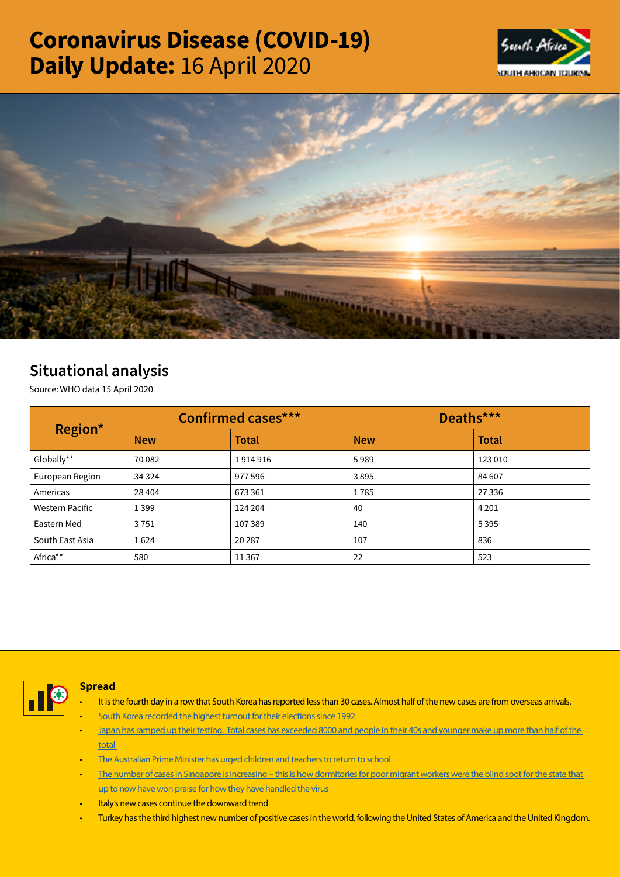# Coronavirus Disease (COVID-19) Daily Update: 16 April 2020





## Situational analysis

Source: WHO data 15 April 2020

| Region*                | Confirmed cases*** |              | Deaths***  |              |  |
|------------------------|--------------------|--------------|------------|--------------|--|
|                        | <b>New</b>         | <b>Total</b> | <b>New</b> | <b>Total</b> |  |
| Globally**             | 70 082             | 1914916      | 5989       | 123 010      |  |
| European Region        | 34 3 24            | 977 596      | 3895       | 84 607       |  |
| Americas               | 28 4 04            | 673 361      | 1785       | 27 3 36      |  |
| <b>Western Pacific</b> | 1399               | 124 204      | 40         | 4 2 0 1      |  |
| Eastern Med            | 3751               | 107389       | 140        | 5395         |  |
| South East Asia        | 1624               | 20 28 7      | 107        | 836          |  |
| Africa**               | 580                | 11 3 6 7     | 22         | 523          |  |



## Spread

- It is the fourth day in a row that South Korea has reported less than 30 cases. Almost half of the new cases are from overseas arrivals.
- [South Korea recorded the highest turnout for their elections since 1992](https://t.co/PJNXNpnDnE?amp=1)
- [Japan has ramped up their testing. Total cases has exceeded 8000 and people in their 40s and younger make up more than half of the](https://t.co/qv8EtZKVQv?amp=1)  [total](https://t.co/qv8EtZKVQv?amp=1)
- [The Australian Prime Minister has urged children and teachers to return to school](https://t.co/pXZ1s2jji5?amp=1)
- The number of cases in Singapore is increasing this is how dormitories for poor migrant workers were the blind spot for the state that up to now have won praise for how they have handled the virus
- Italy's new cases continue the downward trend
- Turkey has the third highest new number of positive cases in the world, following the United States of America and the United Kingdom.